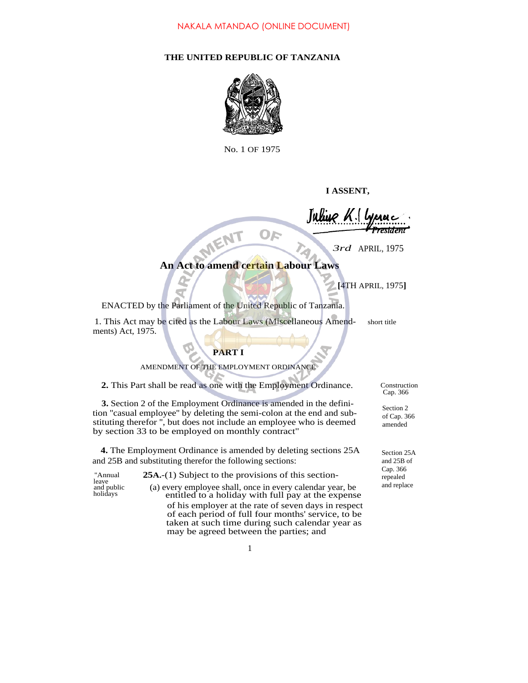# **THE UNITED REPUBLIC OF TANZANIA**



No. 1 OF 1975

**I ASSENT,**

*J*

*3rd* APRIL,<sup>1975</sup>

# **An Act to amend certain Labour Laws**

OF

**[**4TH APRIL, 1975**]**

ENACTED by the Parliament of the United Republic of Tanzania.

1. This Act may be cited as the Labour Laws (Miscellaneous Amend- short title ments) Act, 1975.

## **PART I**

AMENDMENT OF THE EMPLOYMENT ORDINANCE

2. This Part shall be read as one with the Employment Ordinance. Construction

**3.** Section 2 of the Employment Ordinance is amended in the definition ''casual employee'' by deleting the semi-colon at the end and substituting therefor '', but does not include an employee who is deemed by section 33 to be employed on monthly contract"

**4.** The Employment Ordinance is amended by deleting sections 25A and 25B and substituting therefor the following sections:

leave and public holidays

''Annual **25A.**-(1) Subject to the provisions of this section-(a) every employee shall, once in every calendar year, be entitled to a holiday with full pay at the expense of his employer at the rate of seven days in respect of each period of full four months' service, to be taken at such time during such calendar year as may be agreed between the parties; and

Cap. 366

Section 2 of Cap. 366 amended

Section 25A and 25B of Cap. 366 repealed and replace

1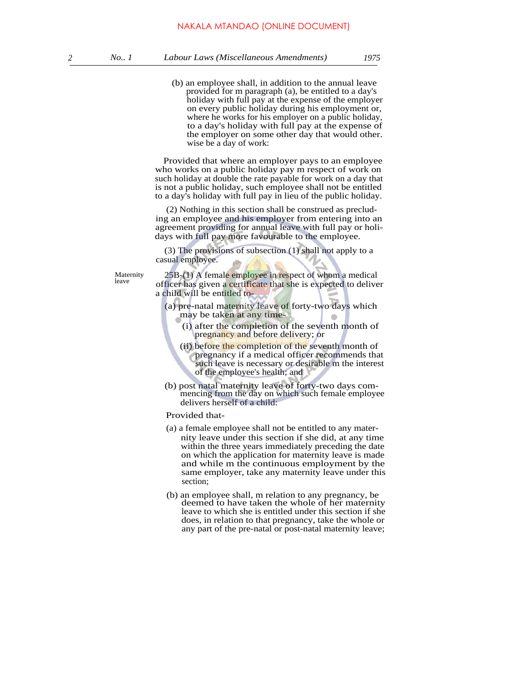(b) an employee shall, in addition to the annual leave provided for m paragraph (a), be entitled to a day's holiday with full pay at the expense of the employer on every public holiday during his employment or, where he works for his employer on a public holiday, to a day's holiday with full pay at the expense of the employer on some other day that would other. wise be a day of work:

Provided that where an employer pays to an employee who works on a public holiday pay m respect of work on such holiday at double the rate payable for work on a day that is not a public holiday, such employee shall not be entitled to a day's holiday with full pay in lieu of the public holiday.

(2) Nothing in this section shall be construed as precluding an employee and his employer from entering into an agreement providing for annual leave with full pay or holidays with full pay more favourable to the employee.

(3) The provisions of subsection (1) shall not apply to a casual employee.

Maternity leave

25B-(1) A female employee in respect of whom a medical officer has given a certificate that she is expected to deliver a child will be entitled to-

(a) pre-natal maternity leave of forty-two days which may be taken at any time-

- (i) after the completion of the seventh month of pregnancy and before delivery; or
- (ii) before the completion of the seventh month of pregnancy if a medical officer recommends that such leave is necessary or desirable m the interest of the employee's health; and
- (b) post natal maternity leave of forty-two days commencing from the day on which such female employee delivers herself of a child:

### Provided that-

- (a) a female employee shall not be entitled to any maternity leave under this section if she did, at any time within the three years immediately preceding the date on which the application for maternity leave is made and while m the continuous employment by the same employer, take any maternity leave under this section;
- (b) an employee shall, m relation to any pregnancy, be deemed to have taken the whole of her maternity leave to which she is entitled under this section if she does, in relation to that pregnancy, take the whole or any part of the pre-natal or post-natal maternity leave;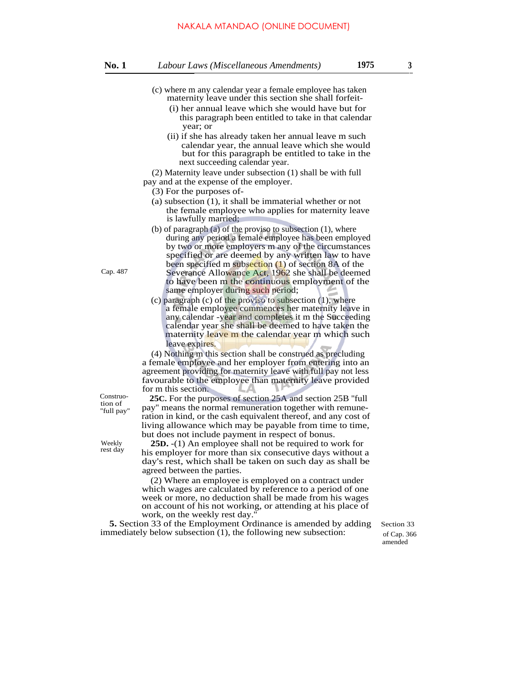### NAKALA MTANDAO (ONLINE DOCUMENT)

- (c) where m any calendar year a female employee has taken maternity leave under this section she shall forfeit-
	- (i) her annual leave which she would have but for this paragraph been entitled to take in that calendar year; or
	- (ii) if she has already taken her annual leave m such calendar year, the annual leave which she would but for this paragraph be entitled to take in the next succeeding calendar year.

(2) Maternity leave under subsection (1) shall be with full pay and at the expense of the employer.

- (3) For the purposes of-
- (a) subsection (1), it shall be immaterial whether or not the female employee who applies for maternity leave is lawfully married;
- (b) of paragraph (a) of the proviso to subsection (1), where during any period a female employee has been employed by two or more employers m any of the circumstances specified or are deemed by any written law to have been specified m subsection (1) of section 8A of the Severance Allowance Act, 1962 she shall be deemed to have been m the continuous employment of the same employer during such period;
- (c) paragraph (c) of the proviso to subsection (1), where a female employee commences her maternity leave in any calendar -year and completes it m the Succeeding calendar year she shall be deemed to have taken the maternity leave m the calendar year m which such leave expires.

(4) Nothing m this section shall be construed as precluding a female employee and her employer from entering into an agreement providing for maternity leave with full pay not less favourable to the employee than maternity leave provided for m this section.

**25C.** For the purposes of section 25A and section 25B ''full pay'' means the normal remuneration together with remuneration in kind, or the cash equivalent thereof, and any cost of living allowance which may be payable from time to time, but does not include payment in respect of bonus.

**25D.** -(1) An employee shall not be required to work for his employer for more than six consecutive days without a day's rest, which shall be taken on such day as shall be agreed between the parties.

(2) Where an employee is employed on a contract under which wages are calculated by reference to a period of one week or more, no deduction shall be made from his wages on account of his not working, or attending at his place of work, on the weekly rest day.

**5.** Section 33 of the Employment Ordinance is amended by adding Section 33 immediately below subsection (1), the following new subsection: of Cap. 366

amended

tion of ''full pay''

Construo-

Cap. 487

Weekly rest day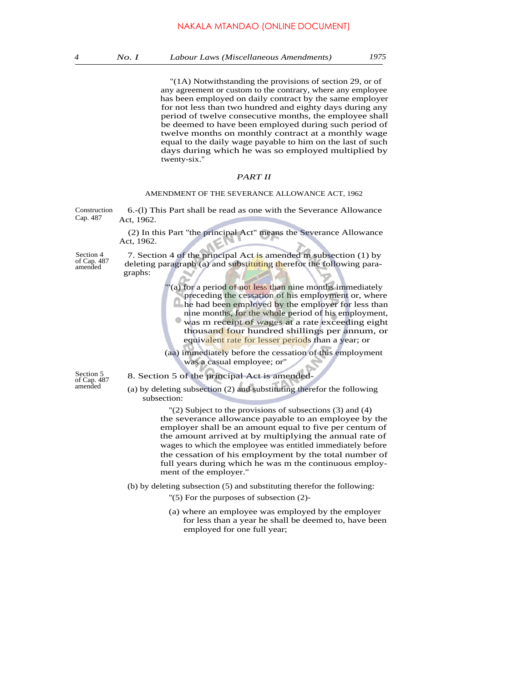"(1A) Notwithstanding the provisions of section 29, or of any agreement or custom to the contrary, where any employee has been employed on daily contract by the same employer for not less than two hundred and eighty days during any period of twelve consecutive months, the employee shall be deemed to have been employed during such period of twelve months on monthly contract at a monthly wage equal to the daily wage payable to him on the last of such days during which he was so employed multiplied by twenty-six.''

### *PART II*

### AMENDMENT OF THE SEVERANCE ALLOWANCE ACT, 1962

6.-(l) This Part shall be read as one with the Severance Allowance Act, 1962. Construction Cap. 487

> (2) In this Part ''the principal Act'' means the Severance Allowance Act, 1962.

7. Section 4 of the principal Act is amended m subsection (1) by

Section 4 of Cap. 487 amended

| of Cap. 487<br>amended              | deleting paragraph (a) and substituting therefor the following para-<br>graphs:                                                                                                                                                                                                                                                                                                           |
|-------------------------------------|-------------------------------------------------------------------------------------------------------------------------------------------------------------------------------------------------------------------------------------------------------------------------------------------------------------------------------------------------------------------------------------------|
|                                     | (a) for a period of not less than nine months immediately<br>preceding the cessation of his employment or, where<br>he had been employed by the employer for less than<br>nine months, for the whole period of his employment,<br>was m receipt of wages at a rate exceeding eight<br>thousand four hundred shillings per annum, or<br>equivalent rate for lesser periods than a year; or |
|                                     | (aa) immediately before the cessation of this employment<br>was a casual employee; or"                                                                                                                                                                                                                                                                                                    |
| Section 5<br>of Cap. 487<br>amended | 8. Section 5 of the principal Act is amended-                                                                                                                                                                                                                                                                                                                                             |
|                                     | (a) by deleting subsection (2) and substituting therefor the following<br>subsection:                                                                                                                                                                                                                                                                                                     |
|                                     | $'(2)$ Subject to the provisions of subsections (3) and (4)<br>the severance allowance payable to an employee by the<br>employer shall be an amount equal to five per centum of<br>the amount arrived at by multiplying the annual rate of<br>wages to which the employee was entitled immediately before<br>the cessation of his employment by the total number of                       |

(b) by deleting subsection (5) and substituting therefor the following:

''(5) For the purposes of subsection (2)-

ment of the employer.''

(a) where an employee was employed by the employer for less than a year he shall be deemed to, have been employed for one full year;

full years during which he was m the continuous employ-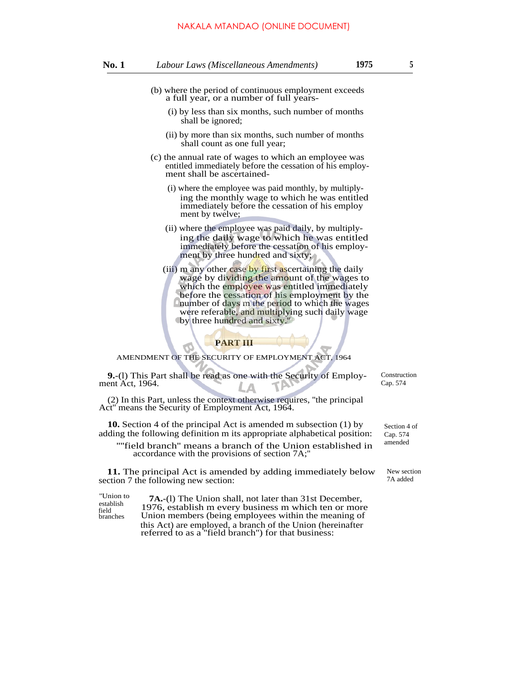- (i) by less than six months, such number of months shall be ignored;
- (ii) by more than six months, such number of months shall count as one full year;
- (c) the annual rate of wages to which an employee was entitled immediately before the cessation of his employment shall be ascertained-
	- (i) where the employee was paid monthly, by multiplying the monthly wage to which he was entitled immediately before the cessation of his employ ment by twelve;
	- (ii) where the employee was paid daily, by multiplying the daily wage to which he was entitled immediately before the cessation of his employment by three hundred and sixty;
	- (iii) m any other case by first ascertaining the daily wage by dividing the amount of the wages to which the employee was entitled immediately before the cessation of his employment by the number of days m the period to which the wages were referable, and multiplying such daily wage by three hundred and sixty.''

### **PART III**

AMENDMENT OF THE SECURITY OF EMPLOYMENT ACT, 1964

**9.**-(l) This Part shall be read as one with the Security of Employment Act, 1964.

Construction Cap. 574

(2) In this Part, unless the context otherwise requires, ''the principal Act'' means the Security of Employment Act, 1964.

**10.** Section 4 of the principal Act is amended m subsection (1) by adding the following definition m its appropriate alphabetical position:

''''field branch'' means a branch of the Union established in accordance with the provisions of section 7A;''

**11.** The principal Act is amended by adding immediately below section 7 the following new section:

| Слион ю   |
|-----------|
| establish |
| field     |
| branches  |
|           |

''Union to **7A.**-(l) The Union shall, not later than 31st December, 1976, establish m every business m which ten or more Union members (being employees within the meaning of this Act) are employed, a branch of the Union (hereinafter referred to as a ''field branch'') for that business:

Section 4 of Cap. 574 amended

New section 7A added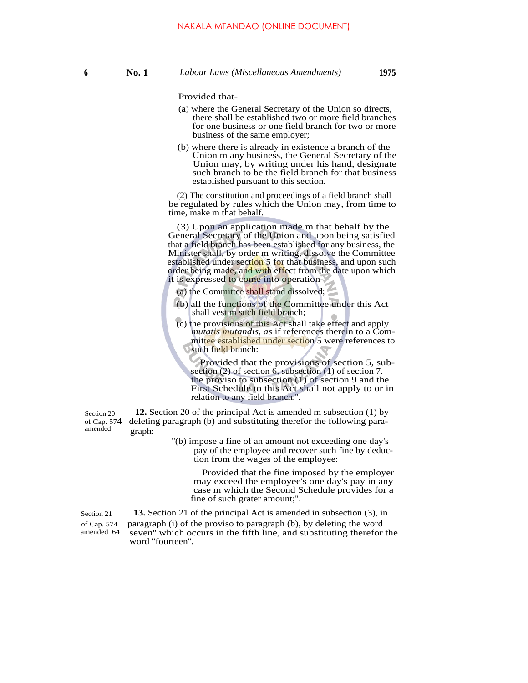Provided that-

- (a) where the General Secretary of the Union so directs, there shall be established two or more field branches for one business or one field branch for two or more business of the same employer;
- (b) where there is already in existence a branch of the Union m any business, the General Secretary of the Union may, by writing under his hand, designate such branch to be the field branch for that business established pursuant to this section.

(2) The constitution and proceedings of a field branch shall be regulated by rules which the Union may, from time to time, make m that behalf.

(3) Upon an application made m that behalf by the General Secretary of the Union and upon being satisfied that a field branch has been established for any business, the Minister shall, by order m writing, dissolve the Committee established under section 5 for that business, and upon such order being made, and with effect from the date upon which it is expressed to come into operation-

- (a) the Committee shall stand dissolved;
- (b) all the functions of the Committee under this Act shall vest m such field branch;
- (c) the provisions of this Act shall take effect and apply *mutatis mutandis, as* if references therein to a Committee established under section 5 were references to such field branch:

Provided that the provisions of section 5, subsection (2) of section 6, subsection (1) of section 7. the proviso to subsection (1) of section 9 and the First Schedule to this Act shall not apply to or in relation to any field branch.''.

**12.** Section 20 of the principal Act is amended m subsection (1) by of Cap. 574 deleting paragraph (b) and substituting therefor the following para-<br>amended create control Section 20 graph:

> ''(b) impose a fine of an amount not exceeding one day's pay of the employee and recover such fine by deduction from the wages of the employee:

Provided that the fine imposed by the employer may exceed the employee's one day's pay in any case m which the Second Schedule provides for a fine of such grater amount;''.

Section 21 **13.** Section 21 of the principal Act is amended in subsection (3), in of Cap. 574 paragraph (i) of the proviso to paragraph (b), by deleting the word amended 64 seven'' which occurs in the fifth line, and substituting therefor the word ''fourteen''.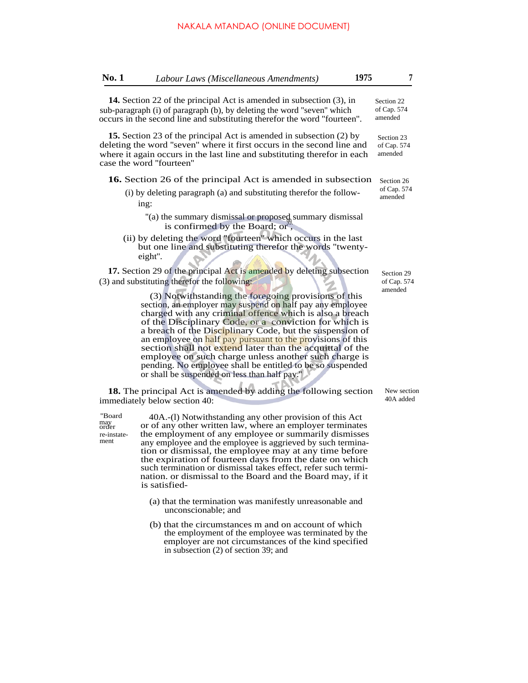| No. 1 | Labour Laws (Miscellaneous Amendments)                                                                                                                                                                                                                                                                                                                                                                          | 1975 | 7                                    |
|-------|-----------------------------------------------------------------------------------------------------------------------------------------------------------------------------------------------------------------------------------------------------------------------------------------------------------------------------------------------------------------------------------------------------------------|------|--------------------------------------|
|       | 14. Section 22 of the principal Act is amended in subsection (3), in<br>sub-paragraph (i) of paragraph (b), by deleting the word "seven" which<br>occurs in the second line and substituting therefor the word "fourteen".                                                                                                                                                                                      |      | Section 22<br>of Cap. 574<br>amended |
|       | <b>15.</b> Section 23 of the principal Act is amended in subsection (2) by<br>deleting the word "seven" where it first occurs in the second line and<br>where it again occurs in the last line and substituting therefor in each<br>case the word "fourteen"                                                                                                                                                    |      | Section 23<br>of Cap. 574<br>amended |
|       | <b>16.</b> Section 26 of the principal Act is amended in subsection<br>(i) by deleting paragraph (a) and substituting therefor the follow-<br>ing:                                                                                                                                                                                                                                                              |      | Section 26<br>of Cap. 574<br>amended |
|       | "(a) the summary dismissal or proposed summary dismissal<br>is confirmed by the Board; or",<br>(ii) by deleting the word "fourteen" which occurs in the last<br>but one line and substituting therefor the words "twenty-<br>eight".                                                                                                                                                                            |      |                                      |
|       | 17. Section 29 of the principal Act is amended by deleting subsection<br>(3) and substituting therefor the following:<br>(3) Notwithstanding the foregoing provisions of this<br>section, an employer may suspend on half pay any employee<br>charged with any criminal offence which is also a breach<br>of the Disciplinary Code, or a conviction for which is<br>charach a Cha Diabeliana Cada hat the above |      | Section 29<br>of Cap. 574<br>amended |

a breach of the Disciplinary Code, but the suspension of an employee on half pay pursuant to the provisions of this section shall not extend later than the acquittal of the employee on such charge unless another such charge is pending. No employee shall be entitled to be so suspended or shall be suspended on less than half pay.''

**18.** The principal Act is amended by adding the following section immediately below section 40:

may<br>order re-instatement

''Board 40A.-(l) Notwithstanding any other provision of this Act or of any other written law, where an employer terminates the employment of any employee or summarily dismisses any employee and the employee is aggrieved by such termination or dismissal, the employee may at any time before the expiration of fourteen days from the date on which such termination or dismissal takes effect, refer such termination. or dismissal to the Board and the Board may, if it is satisfied-

- (a) that the termination was manifestly unreasonable and unconscionable; and
- (b) that the circumstances m and on account of which the employment of the employee was terminated by the employer are not circumstances of the kind specified in subsection (2) of section 39; and

New section 40A added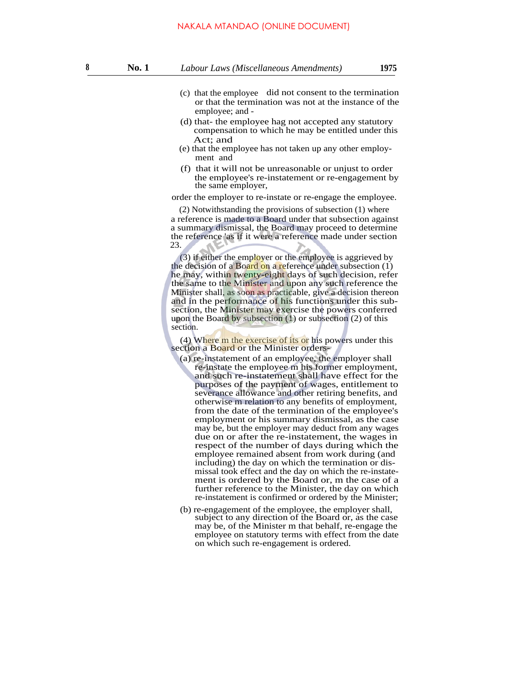employee; and -

- (d) that- the employee hag not accepted any statutory compensation to which he may be entitled under this Act; and
- (e) that the employee has not taken up any other employment and
- (f) that it will not be unreasonable or unjust to order the employee's re-instatement or re-engagement by the same employer,

### order the employer to re-instate or re-engage the employee.

(2) Notwithstanding the provisions of subsection (1) where a reference is made to a Board under that subsection against a summary dismissal, the Board may proceed to determine the reference 'as if it were a reference made under section 23.

(3) if either the employer or the employee is aggrieved by the decision of a Board on a reference under subsection  $(1)$ he may, within twenty-eight days of such decision, refer the same to the Minister and upon any such reference the Minister shall, as soon as practicable, give a decision thereon and in the performance of his functions under this subsection, the Minister may exercise the powers conferred upon the Board by subsection (1) or subsection (2) of this section.

(4) Where m the exercise of its or his powers under this section a Board or the Minister orders-

- (a) re-instatement of an employee, the employer shall re-instate the employee m his former employment, and such re-instatement shall have effect for the purposes of the payment of wages, entitlement to severance allowance and other retiring benefits, and otherwise m relation to any benefits of employment, from the date of the termination of the employee's employment or his summary dismissal, as the case may be, but the employer may deduct from any wages due on or after the re-instatement, the wages in respect of the number of days during which the employee remained absent from work during (and including) the day on which the termination or dismissal took effect and the day on which the re-instatement is ordered by the Board or, m the case of a further reference to the Minister, the day on which re-instatement is confirmed or ordered by the Minister;
- (b) re-engagement of the employee, the employer shall, subject to any direction of the Board or, as the case may be, of the Minister m that behalf, re-engage the employee on statutory terms with effect from the date on which such re-engagement is ordered.